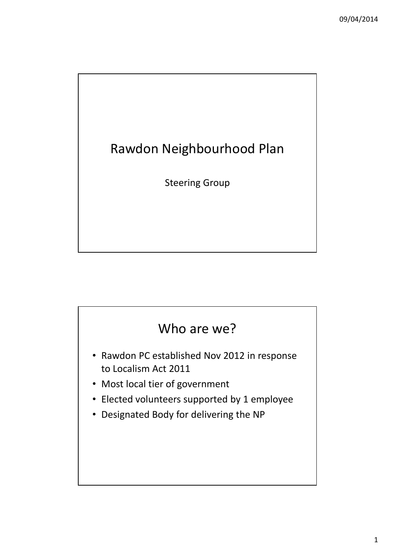

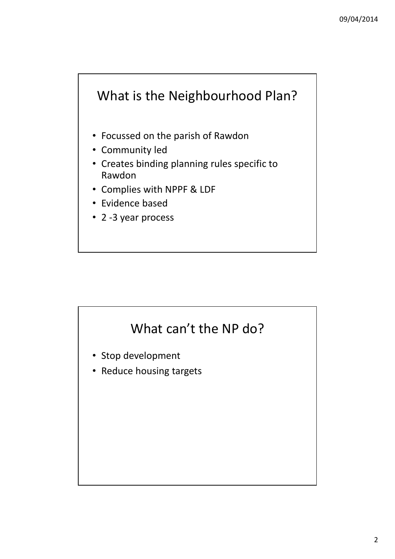# What is the Neighbourhood Plan?

- Focussed on the parish of Rawdon
- Community led
- Creates binding planning rules specific to Rawdon
- Complies with NPPF & LDF
- Evidence based
- 2 -3 year process

# What can't the NP do?

- Stop development
- Reduce housing targets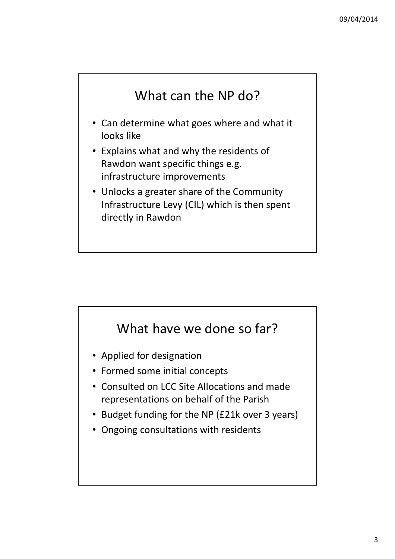## What can the NP do?

- Can determine what goes where and what it looks like
- Explains what and why the residents of Rawdon want specific things e.g. infrastructure improvements
- Unlocks a greater share of the Community Infrastructure Levy (CIL) which is then spent directly in Rawdon

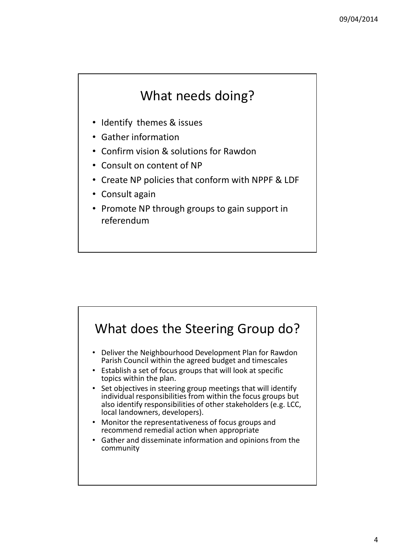#### What needs doing?

- Identify themes & issues
- Gather information
- Confirm vision & solutions for Rawdon
- Consult on content of NP
- Create NP policies that conform with NPPF & LDF
- Consult again
- Promote NP through groups to gain support in referendum

![](_page_3_Figure_9.jpeg)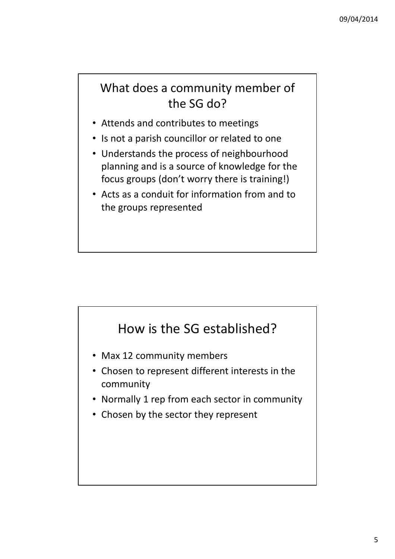#### What does a community member of the SG do?

- Attends and contributes to meetings
- Is not a parish councillor or related to one
- Understands the process of neighbourhood planning and is a source of knowledge for the focus groups (don't worry there is training!)
- Acts as a conduit for information from and to the groups represented

# How is the SG established?

- Max 12 community members
- Chosen to represent different interests in the community
- Normally 1 rep from each sector in community
- Chosen by the sector they represent